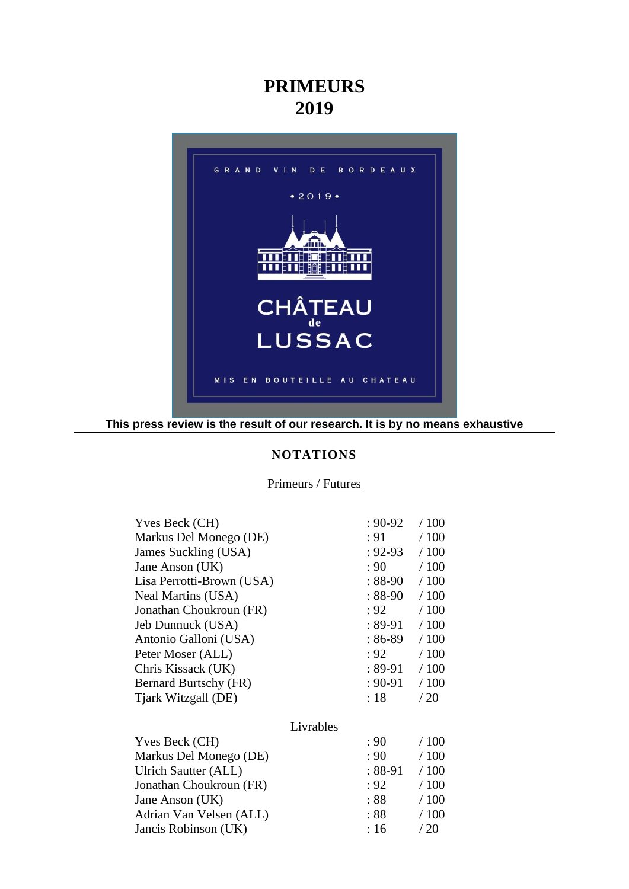# **PRIMEURS 2019**



**This press review is the result of our research. It is by no means exhaustive**

## **NOTATIONS**

# Primeurs / Futures

| Yves Beck (CH)            |           | $: 90 - 92$ | /100 |
|---------------------------|-----------|-------------|------|
| Markus Del Monego (DE)    |           | : 91        | /100 |
| James Suckling (USA)      |           | $: 92 - 93$ | /100 |
| Jane Anson (UK)           |           | : 90        | /100 |
| Lisa Perrotti-Brown (USA) |           | $:88-90$    | /100 |
| Neal Martins (USA)        |           | $: 88-90$   | /100 |
| Jonathan Choukroun (FR)   |           | : 92        | /100 |
| Jeb Dunnuck (USA)         |           | : 89-91     | /100 |
| Antonio Galloni (USA)     |           | : 86-89     | /100 |
| Peter Moser (ALL)         |           | : 92        | /100 |
| Chris Kissack (UK)        |           | $: 89-91$   | /100 |
| Bernard Burtschy (FR)     |           | $: 90 - 91$ | /100 |
| Tjark Witzgall (DE)       |           | :18         | /20  |
|                           | Livrables |             |      |
| Yves Beck (CH)            |           | : 90        | /100 |
| Markus Del Monego (DE)    |           | : 90        | /100 |
| Ulrich Sautter (ALL)      |           | $: 88-91$   | /100 |
| Jonathan Choukroun (FR)   |           | : 92        | /100 |
| Jane Anson (UK)           |           | :88         | /100 |
| Adrian Van Velsen (ALL)   |           | :88         | /100 |
| Jancis Robinson (UK)      |           | :16         | /20  |
|                           |           |             |      |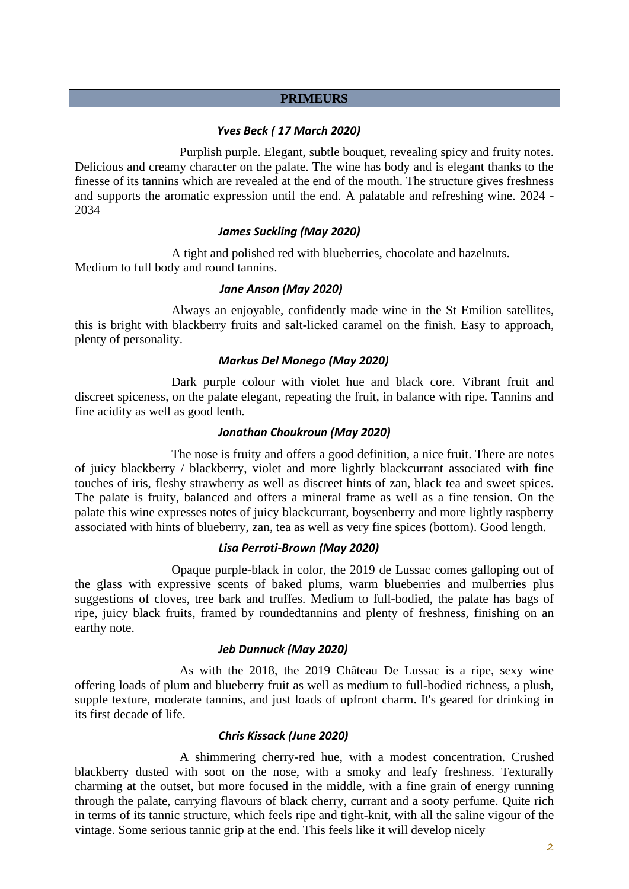## **PRIMEURS**

# *Yves Beck ( 17 March 2020)*

Purplish purple. Elegant, subtle bouquet, revealing spicy and fruity notes. Delicious and creamy character on the palate. The wine has body and is elegant thanks to the finesse of its tannins which are revealed at the end of the mouth. The structure gives freshness and supports the aromatic expression until the end. A palatable and refreshing wine. 2024 - 2034

## *James Suckling (May 2020)*

A tight and polished red with blueberries, chocolate and hazelnuts. Medium to full body and round tannins.

# *Jane Anson (May 2020)*

Always an enjoyable, confidently made wine in the St Emilion satellites, this is bright with blackberry fruits and salt-licked caramel on the finish. Easy to approach, plenty of personality.

## *Markus Del Monego (May 2020)*

Dark purple colour with violet hue and black core. Vibrant fruit and discreet spiceness, on the palate elegant, repeating the fruit, in balance with ripe. Tannins and fine acidity as well as good lenth.

## *Jonathan Choukroun (May 2020)*

The nose is fruity and offers a good definition, a nice fruit. There are notes of juicy blackberry / blackberry, violet and more lightly blackcurrant associated with fine touches of iris, fleshy strawberry as well as discreet hints of zan, black tea and sweet spices. The palate is fruity, balanced and offers a mineral frame as well as a fine tension. On the palate this wine expresses notes of juicy blackcurrant, boysenberry and more lightly raspberry associated with hints of blueberry, zan, tea as well as very fine spices (bottom). Good length.

#### *Lisa Perroti-Brown (May 2020)*

Opaque purple-black in color, the 2019 de Lussac comes galloping out of the glass with expressive scents of baked plums, warm blueberries and mulberries plus suggestions of cloves, tree bark and truffes. Medium to full-bodied, the palate has bags of ripe, juicy black fruits, framed by roundedtannins and plenty of freshness, finishing on an earthy note.

#### *Jeb Dunnuck (May 2020)*

As with the 2018, the 2019 Château De Lussac is a ripe, sexy wine offering loads of plum and blueberry fruit as well as medium to full-bodied richness, a plush, supple texture, moderate tannins, and just loads of upfront charm. It's geared for drinking in its first decade of life.

# *Chris Kissack (June 2020)*

A shimmering cherry-red hue, with a modest concentration. Crushed blackberry dusted with soot on the nose, with a smoky and leafy freshness. Texturally charming at the outset, but more focused in the middle, with a fine grain of energy running through the palate, carrying flavours of black cherry, currant and a sooty perfume. Quite rich in terms of its tannic structure, which feels ripe and tight-knit, with all the saline vigour of the vintage. Some serious tannic grip at the end. This feels like it will develop nicely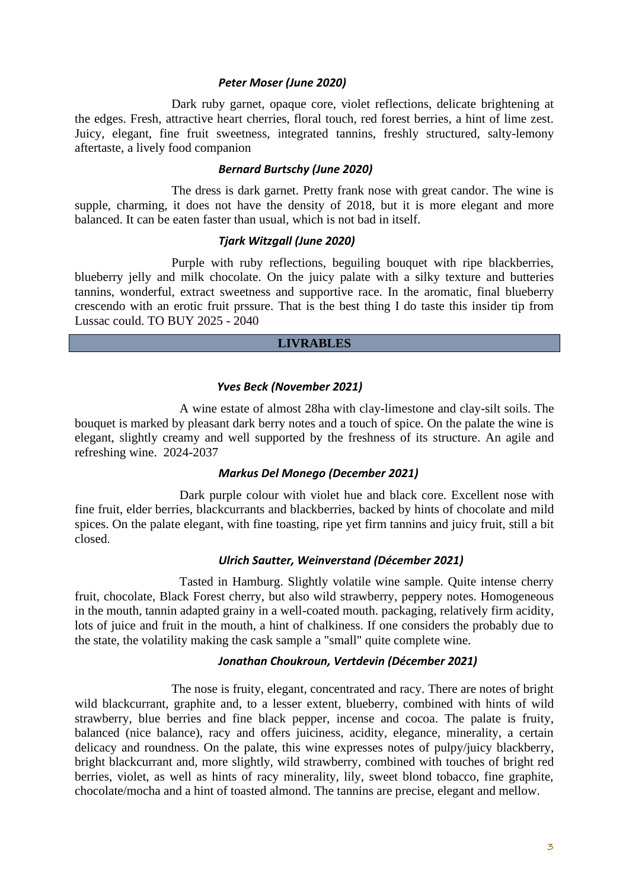#### *Peter Moser (June 2020)*

Dark ruby garnet, opaque core, violet reflections, delicate brightening at the edges. Fresh, attractive heart cherries, floral touch, red forest berries, a hint of lime zest. Juicy, elegant, fine fruit sweetness, integrated tannins, freshly structured, salty-lemony aftertaste, a lively food companion

# *Bernard Burtschy (June 2020)*

The dress is dark garnet. Pretty frank nose with great candor. The wine is supple, charming, it does not have the density of 2018, but it is more elegant and more balanced. It can be eaten faster than usual, which is not bad in itself.

# *Tjark Witzgall (June 2020)*

Purple with ruby reflections, beguiling bouquet with ripe blackberries, blueberry jelly and milk chocolate. On the juicy palate with a silky texture and butteries tannins, wonderful, extract sweetness and supportive race. In the aromatic, final blueberry crescendo with an erotic fruit prssure. That is the best thing I do taste this insider tip from Lussac could. TO BUY 2025 - 2040

#### **LIVRABLES**

# *Yves Beck (November 2021)*

A wine estate of almost 28ha with clay-limestone and clay-silt soils. The bouquet is marked by pleasant dark berry notes and a touch of spice. On the palate the wine is elegant, slightly creamy and well supported by the freshness of its structure. An agile and refreshing wine. 2024-2037

# *Markus Del Monego (December 2021)*

Dark purple colour with violet hue and black core. Excellent nose with fine fruit, elder berries, blackcurrants and blackberries, backed by hints of chocolate and mild spices. On the palate elegant, with fine toasting, ripe yet firm tannins and juicy fruit, still a bit closed.

#### *Ulrich Sautter, Weinverstand (Décember 2021)*

Tasted in Hamburg. Slightly volatile wine sample. Quite intense cherry fruit, chocolate, Black Forest cherry, but also wild strawberry, peppery notes. Homogeneous in the mouth, tannin adapted grainy in a well-coated mouth. packaging, relatively firm acidity, lots of juice and fruit in the mouth, a hint of chalkiness. If one considers the probably due to the state, the volatility making the cask sample a "small" quite complete wine.

# *Jonathan Choukroun, Vertdevin (Décember 2021)*

The nose is fruity, elegant, concentrated and racy. There are notes of bright wild blackcurrant, graphite and, to a lesser extent, blueberry, combined with hints of wild strawberry, blue berries and fine black pepper, incense and cocoa. The palate is fruity, balanced (nice balance), racy and offers juiciness, acidity, elegance, minerality, a certain delicacy and roundness. On the palate, this wine expresses notes of pulpy/juicy blackberry, bright blackcurrant and, more slightly, wild strawberry, combined with touches of bright red berries, violet, as well as hints of racy minerality, lily, sweet blond tobacco, fine graphite, chocolate/mocha and a hint of toasted almond. The tannins are precise, elegant and mellow.